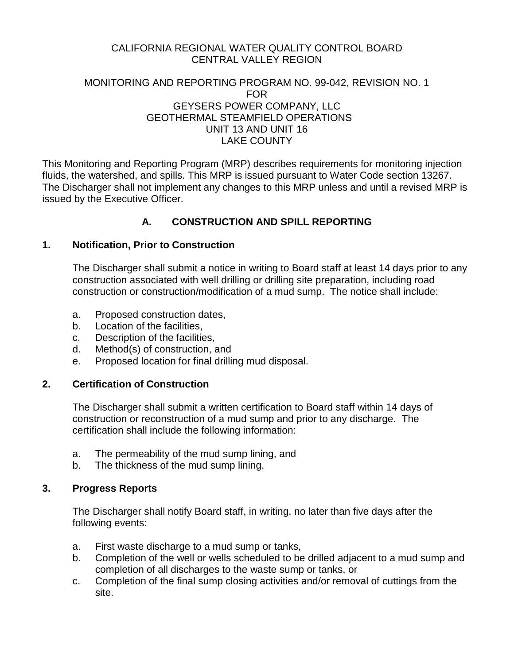## CALIFORNIA REGIONAL WATER QUALITY CONTROL BOARD CENTRAL VALLEY REGION

### MONITORING AND REPORTING PROGRAM NO. 99-042, REVISION NO. 1 FOR GEYSERS POWER COMPANY, LLC GEOTHERMAL STEAMFIELD OPERATIONS UNIT 13 AND UNIT 16 LAKE COUNTY

This Monitoring and Reporting Program (MRP) describes requirements for monitoring injection fluids, the watershed, and spills. This MRP is issued pursuant to Water Code section 13267. The Discharger shall not implement any changes to this MRP unless and until a revised MRP is issued by the Executive Officer.

# **A. CONSTRUCTION AND SPILL REPORTING**

### **1. Notification, Prior to Construction**

The Discharger shall submit a notice in writing to Board staff at least 14 days prior to any construction associated with well drilling or drilling site preparation, including road construction or construction/modification of a mud sump. The notice shall include:

- a. Proposed construction dates,
- b. Location of the facilities,
- c. Description of the facilities,
- d. Method(s) of construction, and
- e. Proposed location for final drilling mud disposal.

### **2. Certification of Construction**

The Discharger shall submit a written certification to Board staff within 14 days of construction or reconstruction of a mud sump and prior to any discharge. The certification shall include the following information:

- a. The permeability of the mud sump lining, and
- b. The thickness of the mud sump lining.

### **3. Progress Reports**

The Discharger shall notify Board staff, in writing, no later than five days after the following events:

- a. First waste discharge to a mud sump or tanks,
- b. Completion of the well or wells scheduled to be drilled adjacent to a mud sump and completion of all discharges to the waste sump or tanks, or
- c. Completion of the final sump closing activities and/or removal of cuttings from the site.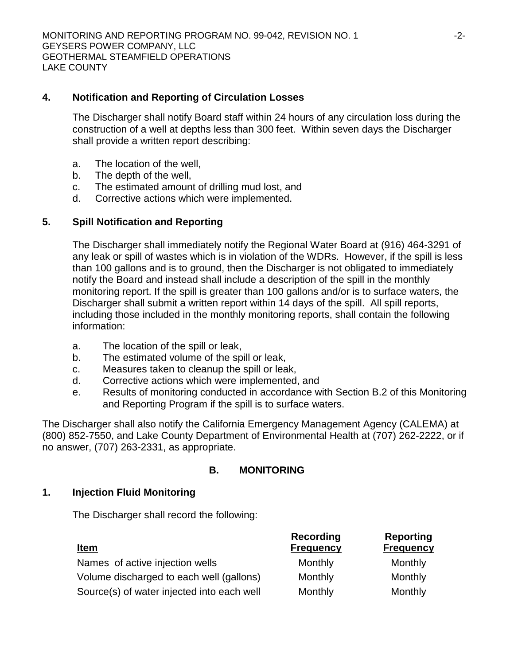## **4. Notification and Reporting of Circulation Losses**

The Discharger shall notify Board staff within 24 hours of any circulation loss during the construction of a well at depths less than 300 feet. Within seven days the Discharger shall provide a written report describing:

- a. The location of the well,
- b. The depth of the well,
- c. The estimated amount of drilling mud lost, and
- d. Corrective actions which were implemented.

## **5. Spill Notification and Reporting**

The Discharger shall immediately notify the Regional Water Board at (916) 464-3291 of any leak or spill of wastes which is in violation of the WDRs. However, if the spill is less than 100 gallons and is to ground, then the Discharger is not obligated to immediately notify the Board and instead shall include a description of the spill in the monthly monitoring report. If the spill is greater than 100 gallons and/or is to surface waters, the Discharger shall submit a written report within 14 days of the spill. All spill reports, including those included in the monthly monitoring reports, shall contain the following information:

- a. The location of the spill or leak,
- b. The estimated volume of the spill or leak,
- c. Measures taken to cleanup the spill or leak,
- d. Corrective actions which were implemented, and
- e. Results of monitoring conducted in accordance with Section B.2 of this Monitoring and Reporting Program if the spill is to surface waters.

The Discharger shall also notify the California Emergency Management Agency (CALEMA) at (800) 852-7550, and Lake County Department of Environmental Health at (707) 262-2222, or if no answer, (707) 263-2331, as appropriate.

## **B. MONITORING**

### **1. Injection Fluid Monitoring**

The Discharger shall record the following:

| <b>Item</b>                                | <b>Recording</b><br><b>Frequency</b> | <b>Reporting</b><br><b>Frequency</b> |
|--------------------------------------------|--------------------------------------|--------------------------------------|
| Names of active injection wells            | Monthly                              | Monthly                              |
| Volume discharged to each well (gallons)   | Monthly                              | Monthly                              |
| Source(s) of water injected into each well | Monthly                              | Monthly                              |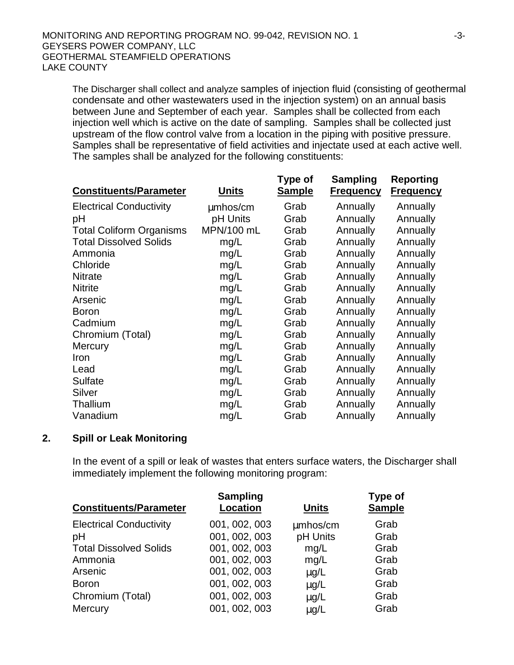The Discharger shall collect and analyze samples of injection fluid (consisting of geothermal condensate and other wastewaters used in the injection system) on an annual basis between June and September of each year. Samples shall be collected from each injection well which is active on the date of sampling. Samples shall be collected just upstream of the flow control valve from a location in the piping with positive pressure. Samples shall be representative of field activities and injectate used at each active well. The samples shall be analyzed for the following constituents:

|                                 |              | Type of       | Sampling         | Reporting        |
|---------------------------------|--------------|---------------|------------------|------------------|
| <b>Constituents/Parameter</b>   | <b>Units</b> | <b>Sample</b> | <b>Frequency</b> | <b>Frequency</b> |
| <b>Electrical Conductivity</b>  | mmhos/cm     | Grab          | Annually         | Annually         |
| pH                              | pH Units     | Grab          | Annually         | Annually         |
| <b>Total Coliform Organisms</b> | MPN/100 mL   | Grab          | Annually         | Annually         |
| <b>Total Dissolved Solids</b>   | mg/L         | Grab          | Annually         | Annually         |
| Ammonia                         | mg/L         | Grab          | Annually         | Annually         |
| Chloride                        | mg/L         | Grab          | Annually         | Annually         |
| <b>Nitrate</b>                  | mg/L         | Grab          | Annually         | Annually         |
| <b>Nitrite</b>                  | mg/L         | Grab          | Annually         | Annually         |
| Arsenic                         | mg/L         | Grab          | Annually         | Annually         |
| <b>Boron</b>                    | mg/L         | Grab          | Annually         | Annually         |
| Cadmium                         | mg/L         | Grab          | Annually         | Annually         |
| Chromium (Total)                | mg/L         | Grab          | Annually         | Annually         |
| Mercury                         | mg/L         | Grab          | Annually         | Annually         |
| Iron                            | mg/L         | Grab          | Annually         | Annually         |
| Lead                            | mg/L         | Grab          | Annually         | Annually         |
| <b>Sulfate</b>                  | mg/L         | Grab          | Annually         | Annually         |
| Silver                          | mg/L         | Grab          | Annually         | Annually         |
| Thallium                        | mg/L         | Grab          | Annually         | Annually         |
| Vanadium                        | mg/L         | Grab          | Annually         | Annually         |

### **2. Spill or Leak Monitoring**

In the event of a spill or leak of wastes that enters surface waters, the Discharger shall immediately implement the following monitoring program:

| <b>Sampling</b><br><b>Location</b> | <b>Units</b> | <b>Type of</b><br><b>Sample</b> |
|------------------------------------|--------------|---------------------------------|
| 001, 002, 003                      | mmhos/cm     | Grab                            |
| 001, 002, 003                      | pH Units     | Grab                            |
| 001, 002, 003                      | mg/L         | Grab                            |
| 001, 002, 003                      | mg/L         | Grab                            |
| 001, 002, 003                      | mq/L         | Grab                            |
| 001, 002, 003                      | mq/L         | Grab                            |
| 001, 002, 003                      | mg/L         | Grab                            |
| 001, 002, 003                      | mg/L         | Grab                            |
|                                    |              |                                 |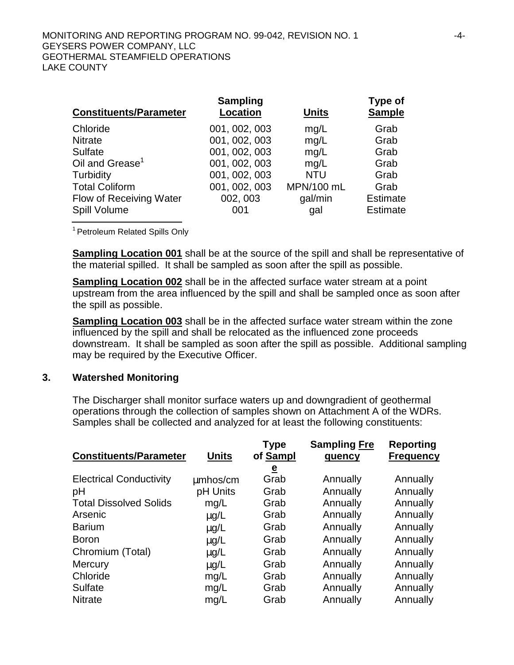| <b>Constituents/Parameter</b> | <b>Sampling</b><br><b>Location</b> | <b>Units</b> | Type of<br><b>Sample</b> |
|-------------------------------|------------------------------------|--------------|--------------------------|
| Chloride                      | 001, 002, 003                      | mg/L         | Grab                     |
| <b>Nitrate</b>                | 001, 002, 003                      | mg/L         | Grab                     |
| Sulfate                       | 001, 002, 003                      | mq/L         | Grab                     |
| Oil and Grease <sup>1</sup>   | 001, 002, 003                      | mq/L         | Grab                     |
| Turbidity                     | 001, 002, 003                      | <b>NTU</b>   | Grab                     |
| <b>Total Coliform</b>         | 001, 002, 003                      | MPN/100 mL   | Grab                     |
| Flow of Receiving Water       | 002, 003                           | gal/min      | <b>Estimate</b>          |
| Spill Volume                  | 001                                | gal          | <b>Estimate</b>          |

<sup>1</sup> Petroleum Related Spills Only

**Sampling Location 001** shall be at the source of the spill and shall be representative of the material spilled. It shall be sampled as soon after the spill as possible.

**Sampling Location 002** shall be in the affected surface water stream at a point upstream from the area influenced by the spill and shall be sampled once as soon after the spill as possible.

**Sampling Location 003** shall be in the affected surface water stream within the zone influenced by the spill and shall be relocated as the influenced zone proceeds downstream. It shall be sampled as soon after the spill as possible. Additional sampling may be required by the Executive Officer.

#### **3. Watershed Monitoring**

The Discharger shall monitor surface waters up and downgradient of geothermal operations through the collection of samples shown on Attachment A of the WDRs. Samples shall be collected and analyzed for at least the following constituents:

| <b>Constituents/Parameter</b>  | <b>Units</b> | <b>Type</b><br>of Sampl | <b>Sampling Fre</b><br>quency | <b>Reporting</b><br><b>Frequency</b> |
|--------------------------------|--------------|-------------------------|-------------------------------|--------------------------------------|
|                                |              | $\overline{\mathbf{e}}$ |                               |                                      |
| <b>Electrical Conductivity</b> | mmhos/cm     | Grab                    | Annually                      | Annually                             |
| pH                             | pH Units     | Grab                    | Annually                      | Annually                             |
| <b>Total Dissolved Solids</b>  | mg/L         | Grab                    | Annually                      | Annually                             |
| Arsenic                        | mg/L         | Grab                    | Annually                      | Annually                             |
| <b>Barium</b>                  | mg/L         | Grab                    | Annually                      | Annually                             |
| <b>Boron</b>                   | mg/L         | Grab                    | Annually                      | Annually                             |
| Chromium (Total)               | mg/L         | Grab                    | Annually                      | Annually                             |
| <b>Mercury</b>                 | mg/L         | Grab                    | Annually                      | Annually                             |
| Chloride                       | mg/L         | Grab                    | Annually                      | Annually                             |
| Sulfate                        | mg/L         | Grab                    | Annually                      | Annually                             |
| <b>Nitrate</b>                 | mq/L         | Grab                    | Annually                      | Annually                             |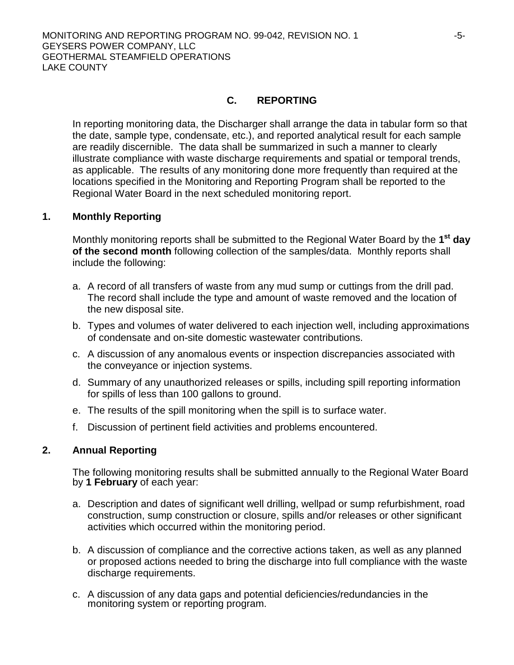## **C. REPORTING**

In reporting monitoring data, the Discharger shall arrange the data in tabular form so that the date, sample type, condensate, etc.), and reported analytical result for each sample are readily discernible. The data shall be summarized in such a manner to clearly illustrate compliance with waste discharge requirements and spatial or temporal trends, as applicable. The results of any monitoring done more frequently than required at the locations specified in the Monitoring and Reporting Program shall be reported to the Regional Water Board in the next scheduled monitoring report.

### **1. Monthly Reporting**

Monthly monitoring reports shall be submitted to the Regional Water Board by the **1st day of the second month** following collection of the samples/data. Monthly reports shall include the following:

- a. A record of all transfers of waste from any mud sump or cuttings from the drill pad. The record shall include the type and amount of waste removed and the location of the new disposal site.
- b. Types and volumes of water delivered to each injection well, including approximations of condensate and on-site domestic wastewater contributions.
- c. A discussion of any anomalous events or inspection discrepancies associated with the conveyance or injection systems.
- d. Summary of any unauthorized releases or spills, including spill reporting information for spills of less than 100 gallons to ground.
- e. The results of the spill monitoring when the spill is to surface water.
- f. Discussion of pertinent field activities and problems encountered.

### **2. Annual Reporting**

The following monitoring results shall be submitted annually to the Regional Water Board by **1 February** of each year:

- a. Description and dates of significant well drilling, wellpad or sump refurbishment, road construction, sump construction or closure, spills and/or releases or other significant activities which occurred within the monitoring period.
- b. A discussion of compliance and the corrective actions taken, as well as any planned or proposed actions needed to bring the discharge into full compliance with the waste discharge requirements.
- c. A discussion of any data gaps and potential deficiencies/redundancies in the monitoring system or reporting program.